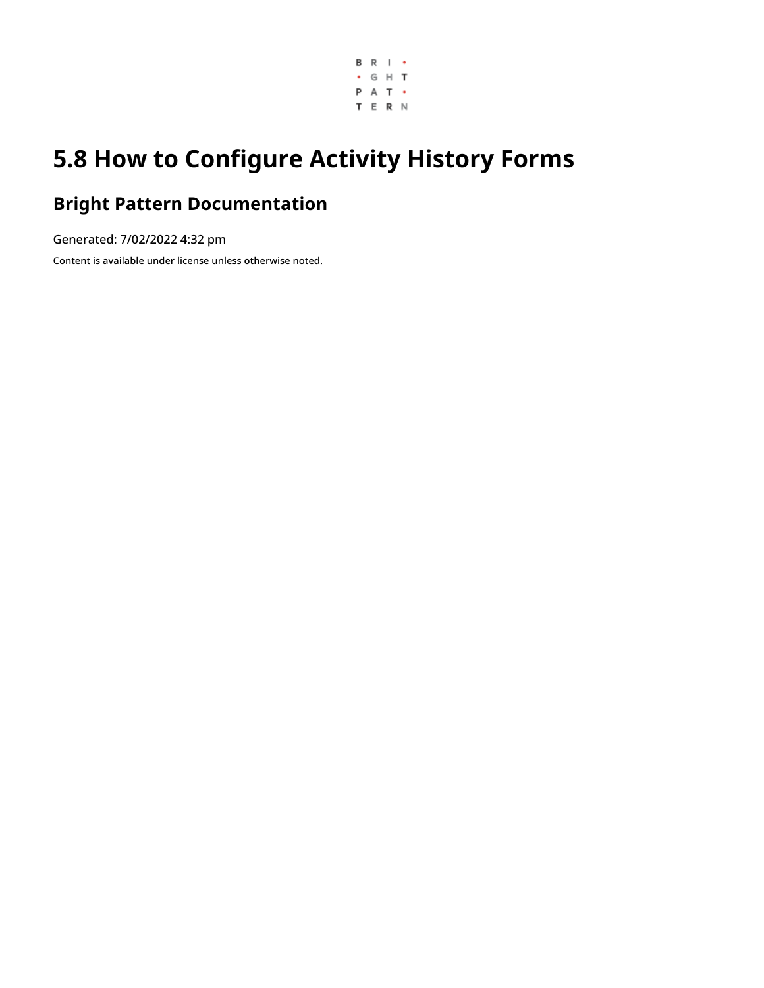

# **5.8 How to Configure Activity History Forms**

# **Bright Pattern Documentation**

Generated: 7/02/2022 4:32 pm Content is available under license unless otherwise noted.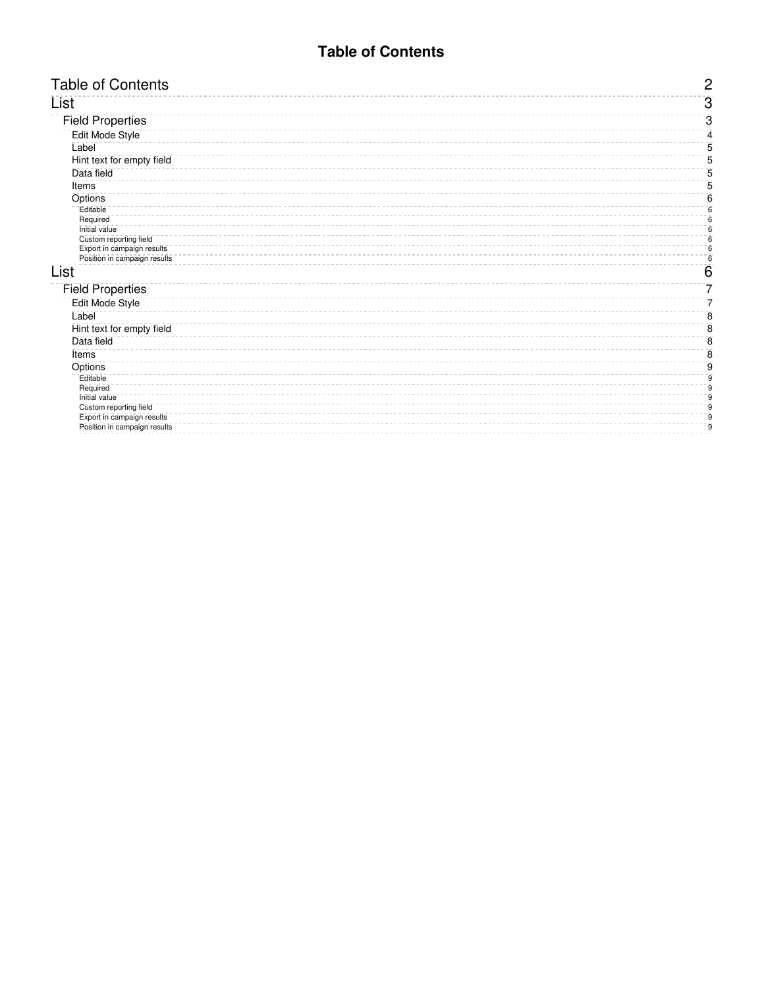## **Table of Contents**

<span id="page-1-0"></span>

| <b>Table of Contents</b>                | $\overline{c}$ |
|-----------------------------------------|----------------|
| List                                    | $\overline{3}$ |
| <b>Field Properties</b>                 | 3              |
| Edit Mode Style                         | 4              |
| Label                                   | 5              |
| Hint text for empty field               | 5              |
| Data field                              | 5              |
| Items                                   | 5              |
| Options                                 | 6              |
| Editable                                | 6              |
| Required<br>Initial value               | 6<br>6         |
| Custom reporting field                  | 6              |
| Export in campaign results              | 6              |
| Position in campaign results            | 6              |
| List                                    | 6              |
| <b>Field Properties</b>                 | 7              |
| Edit Mode Style                         | 7              |
| Label                                   | 8              |
| Hint text for empty field               | 8              |
| Data field                              | 8              |
| Items                                   | 8              |
| Options                                 | 9              |
| Editable                                | 9              |
| Required                                | 9              |
| Initial value<br>Custom reporting field | 9<br>9         |
| Export in campaign results              | 9              |
| Position in campaign results            | g              |
|                                         |                |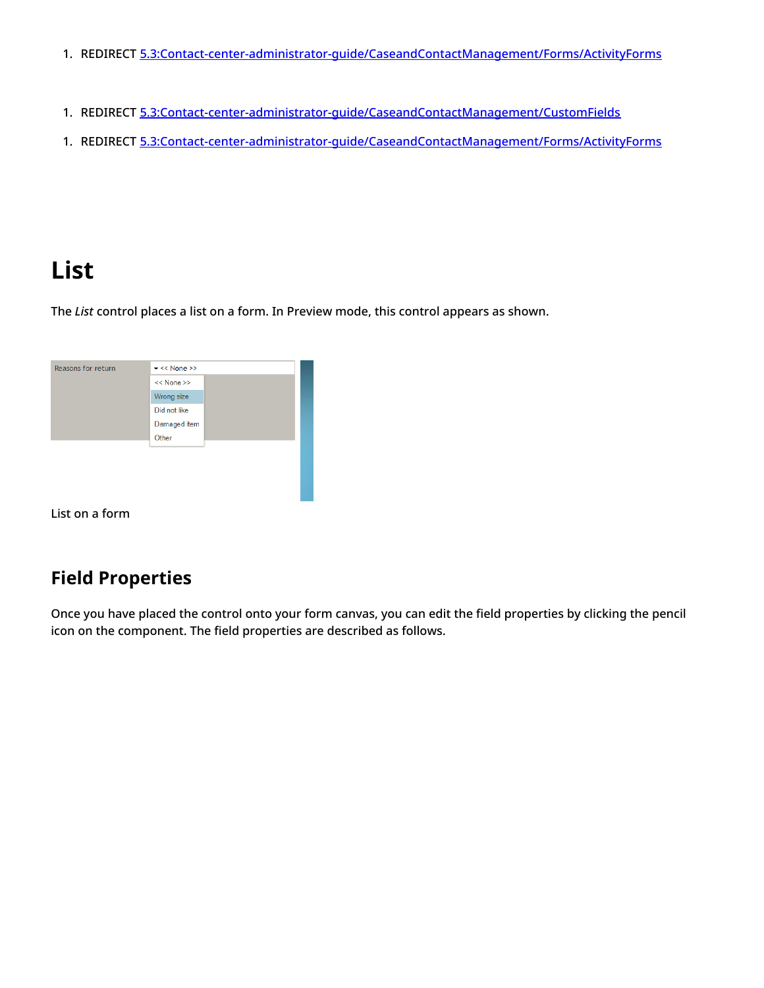- 1. REDIRECT [5.3:Contact-center-administrator-guide/CaseandContactManagement/Forms/ActivityForms](https://help.brightpattern.com/5.3:Contact-center-administrator-guide/CaseandContactManagement/Forms/ActivityForms)
- 1. REDIRECT [5.3:Contact-center-administrator-guide/CaseandContactManagement/CustomFields](https://help.brightpattern.com/5.3:Contact-center-administrator-guide/CaseandContactManagement/CustomFields)
- 1. REDIRECT [5.3:Contact-center-administrator-guide/CaseandContactManagement/Forms/ActivityForms](https://help.brightpattern.com/5.3:Contact-center-administrator-guide/CaseandContactManagement/Forms/ActivityForms)

# <span id="page-2-0"></span>**List**

The *List* control places a list on a form. In Preview mode, this control appears as shown.



List on a form

## <span id="page-2-1"></span>**Field Properties**

Once you have placed the control onto your form canvas, you can edit the field properties by clicking the pencil icon on the component. The field properties are described as follows.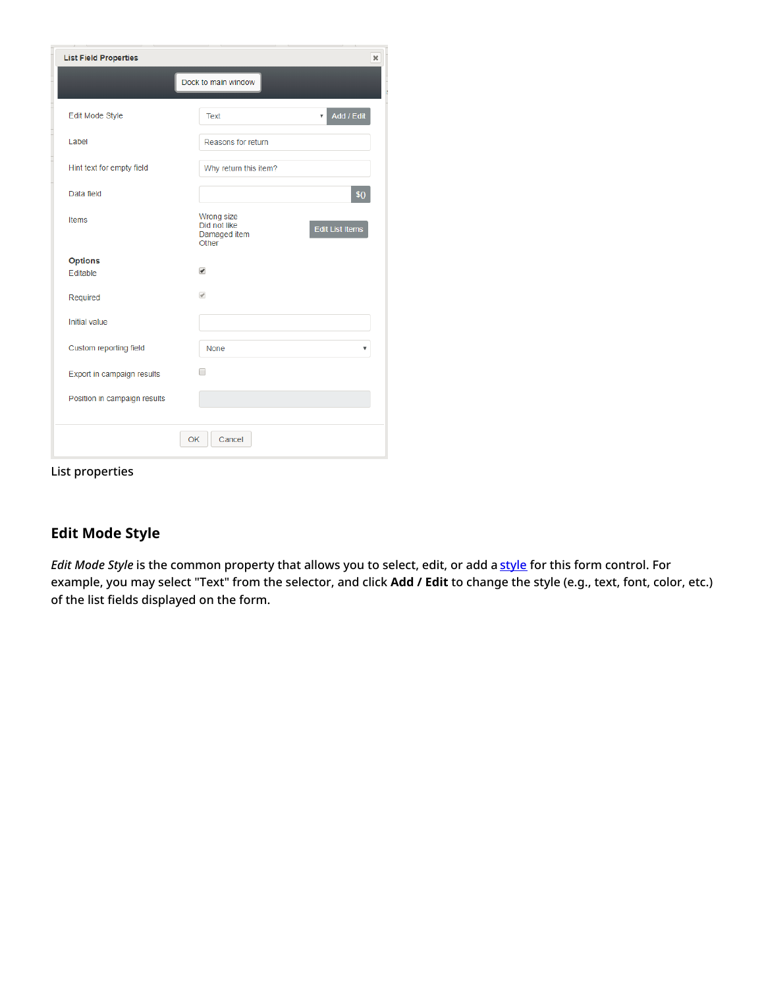| <b>List Field Properties</b><br>$\pmb{\times}$             |                                                     |                                       |  |  |
|------------------------------------------------------------|-----------------------------------------------------|---------------------------------------|--|--|
|                                                            | Dock to main window                                 |                                       |  |  |
| Edit Mode Style                                            | <b>Text</b>                                         | Add / Edit<br>$\overline{\mathbf{v}}$ |  |  |
| Label                                                      | Reasons for return                                  |                                       |  |  |
| Hint text for empty field                                  | Why return this item?                               |                                       |  |  |
| Data field                                                 |                                                     | \$()                                  |  |  |
| <b>Items</b>                                               | Wrong size<br>Did not like<br>Damaged item<br>Other | <b>Edit List Items</b>                |  |  |
| <b>Options</b>                                             |                                                     |                                       |  |  |
| Editable                                                   | $\overline{\mathcal{L}}$                            |                                       |  |  |
| Required                                                   | $\mathcal{A}$                                       |                                       |  |  |
| Initial value                                              |                                                     |                                       |  |  |
|                                                            |                                                     |                                       |  |  |
| Custom reporting field                                     | <b>None</b>                                         | v                                     |  |  |
| Export in campaign results<br>Position in campaign results | □                                                   |                                       |  |  |
|                                                            |                                                     |                                       |  |  |
|                                                            |                                                     |                                       |  |  |
|                                                            | OK<br>Cancel                                        |                                       |  |  |

List properties

## <span id="page-3-0"></span>**Edit Mode Style**

*Edit Mode Style* is the common property that allows you to select, edit, or add a [style](https://help.brightpattern.com/index.php?title=5.8:Form-builder-reference-guide/CreatingNewForms&action=edit&redlink=1) for this form control. For example, you may select "Text" from the selector, and click **Add / Edit** to change the style (e.g., text, font, color, etc.) of the list fields displayed on the form.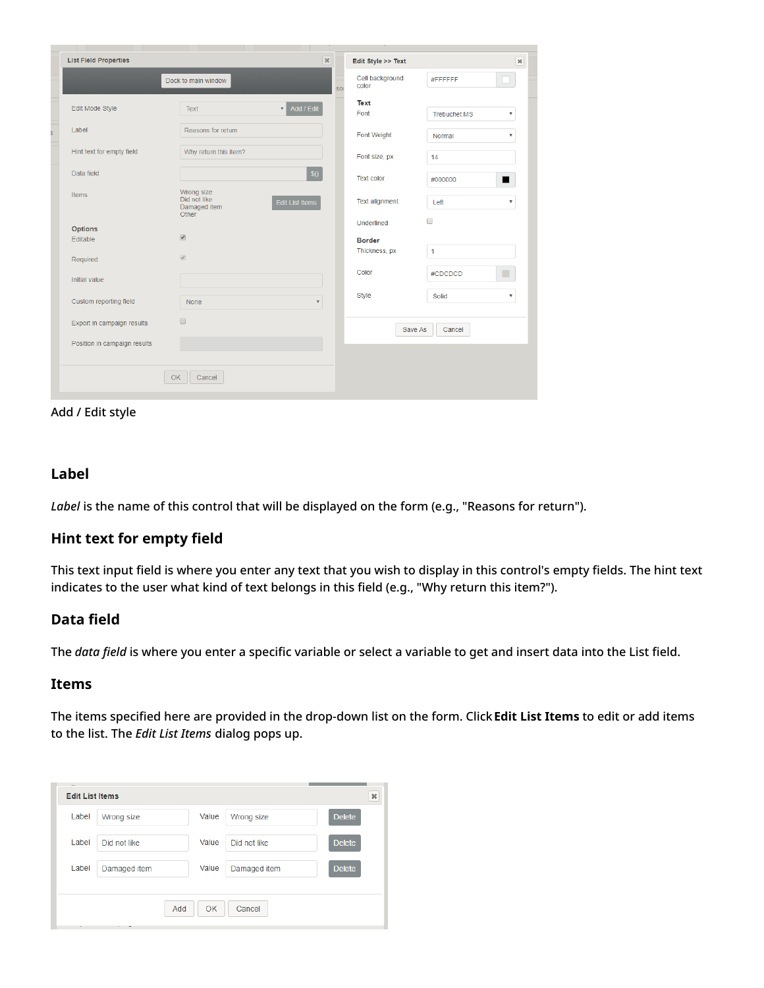| <b>List Field Properties</b> |                                                     | $\mathcal{R}$          |            | Edit Style >> Text       |                     | $\pmb{\times}$            |
|------------------------------|-----------------------------------------------------|------------------------|------------|--------------------------|---------------------|---------------------------|
|                              | Dock to main window                                 |                        | <b>SOI</b> | Cell background<br>color | #FFFFFFF            |                           |
| Edit Mode Style              | <b>Text</b>                                         | Add / Edit             |            | <b>Text</b><br>Font      | <b>Trebuchet MS</b> | $\boldsymbol{\mathrm{v}}$ |
| Label                        | Reasons for return                                  |                        |            | Font Weight              | Normal              | $\boldsymbol{\mathrm{v}}$ |
| Hint text for empty field    | Why return this item?                               |                        |            | Font size, px            | 14                  |                           |
| Data field                   |                                                     | \$0                    |            | <b>Text color</b>        | #000000             | ■                         |
| Items                        | Wrong size<br>Did not like<br>Damaged item<br>Other | <b>Edit List Items</b> |            | <b>Text alignment</b>    | Left                | $\overline{\mathbf{v}}$   |
| <b>Options</b>               |                                                     |                        |            | Underlined               | $\Box$              |                           |
| Editable                     | $\overline{\mathscr{L}}$                            |                        |            | <b>Border</b>            |                     |                           |
| Required                     | $\overline{\mathscr{L}}$                            |                        |            | Thickness, px            | 1                   |                           |
| <b>Initial value</b>         |                                                     |                        |            | Color                    | #CDCDCD             | п                         |
| Custom reporting field       | <b>None</b>                                         | $\overline{\mathbf v}$ |            | <b>Style</b>             | Solid               | $\boldsymbol{\mathrm{v}}$ |
| Export in campaign results   | $\Box$                                              |                        |            | Save As                  | Cancel              |                           |
| Position in campaign results |                                                     |                        |            |                          |                     |                           |
|                              |                                                     |                        |            |                          |                     |                           |
|                              | <b>OK</b><br>Cancel                                 |                        |            |                          |                     |                           |

#### Add / Edit style

### <span id="page-4-0"></span>**Label**

*Label* is the name of this control that will be displayed on the form (e.g., "Reasons for return").

## <span id="page-4-1"></span>**Hint text for empty field**

This text input field is where you enter any text that you wish to display in this control's empty fields. The hint text indicates to the user what kind of text belongs in this field (e.g., "Why return this item?").

### <span id="page-4-2"></span>**Data field**

The *data field* is where you enter a specific variable or select a variable to get and insert data into the List field.

#### <span id="page-4-3"></span>**Items**

The items specified here are provided in the drop-down list on the form. Click**Edit List Items** to edit or add items to the list. The *Edit List Items* dialog pops up.

| $\sim$<br><b>Edit List Items</b> |              |       |              | $\pmb{\times}$ |  |
|----------------------------------|--------------|-------|--------------|----------------|--|
| Label                            | Wrong size   | Value | Wrong size   | <b>Delete</b>  |  |
| Label                            | Did not like | Value | Did not like | <b>Delete</b>  |  |
| Label                            | Damaged item | Value | Damaged item | <b>Delete</b>  |  |
|                                  |              |       |              |                |  |
| <b>OK</b><br>Cancel<br>Add       |              |       |              |                |  |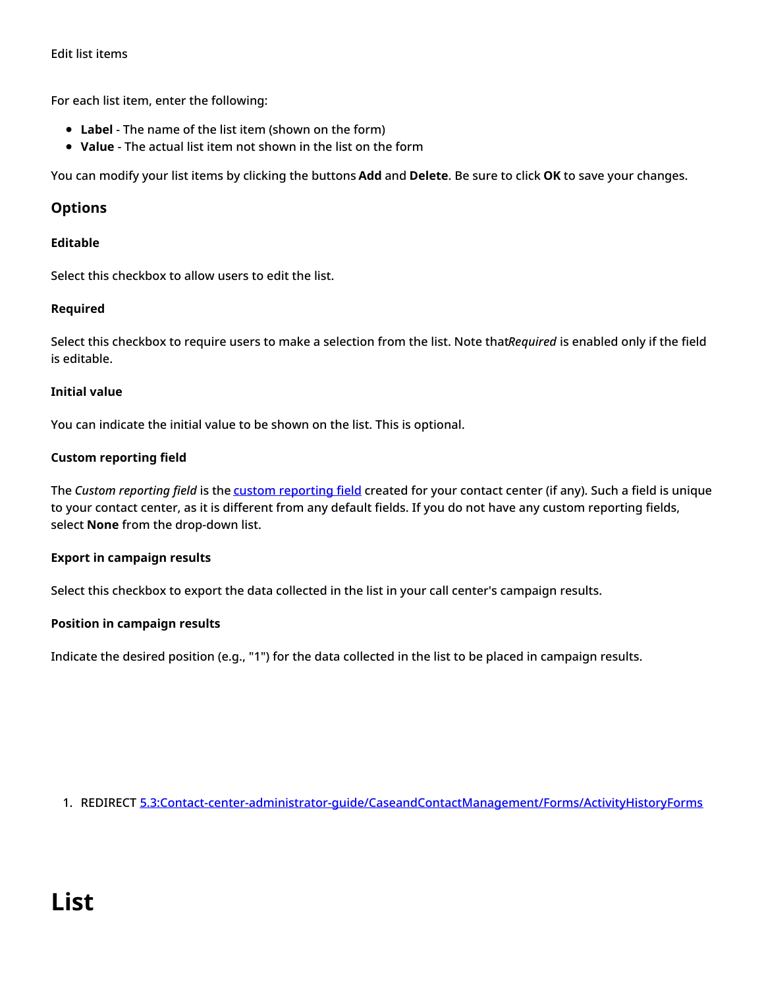#### Edit list items

For each list item, enter the following:

- **Label** The name of the list item (shown on the form)
- **Value** The actual list item not shown in the list on the form

You can modify your list items by clicking the buttons **Add** and **Delete**. Be sure to click **OK** to save your changes.

#### <span id="page-5-0"></span>**Options**

#### <span id="page-5-1"></span>**Editable**

Select this checkbox to allow users to edit the list.

#### <span id="page-5-2"></span>**Required**

Select this checkbox to require users to make a selection from the list. Note that*Required* is enabled only if the field is editable.

#### <span id="page-5-3"></span>**Initial value**

You can indicate the initial value to be shown on the list. This is optional.

#### <span id="page-5-4"></span>**Custom reporting field**

The *Custom reporting field* is the custom [reporting](https://help.brightpattern.com/5.8:Form-builder-reference-guide/HowtoConfigureActivityHistoryForms/?action=html-localimages-export#topic_contact-center-administrator-guide.2Fcustomreportingfields) field created for your contact center (if any). Such a field is unique to your contact center, as it is different from any default fields. If you do not have any custom reporting fields, select **None** from the drop-down list.

#### <span id="page-5-5"></span>**Export in campaign results**

Select this checkbox to export the data collected in the list in your call center's campaign results.

#### <span id="page-5-6"></span>**Position in campaign results**

Indicate the desired position (e.g., "1") for the data collected in the list to be placed in campaign results.

<span id="page-5-7"></span>1. REDIRECT [5.3:Contact-center-administrator-guide/CaseandContactManagement/Forms/ActivityHistoryForms](https://help.brightpattern.com/5.3:Contact-center-administrator-guide/CaseandContactManagement/Forms/ActivityHistoryForms)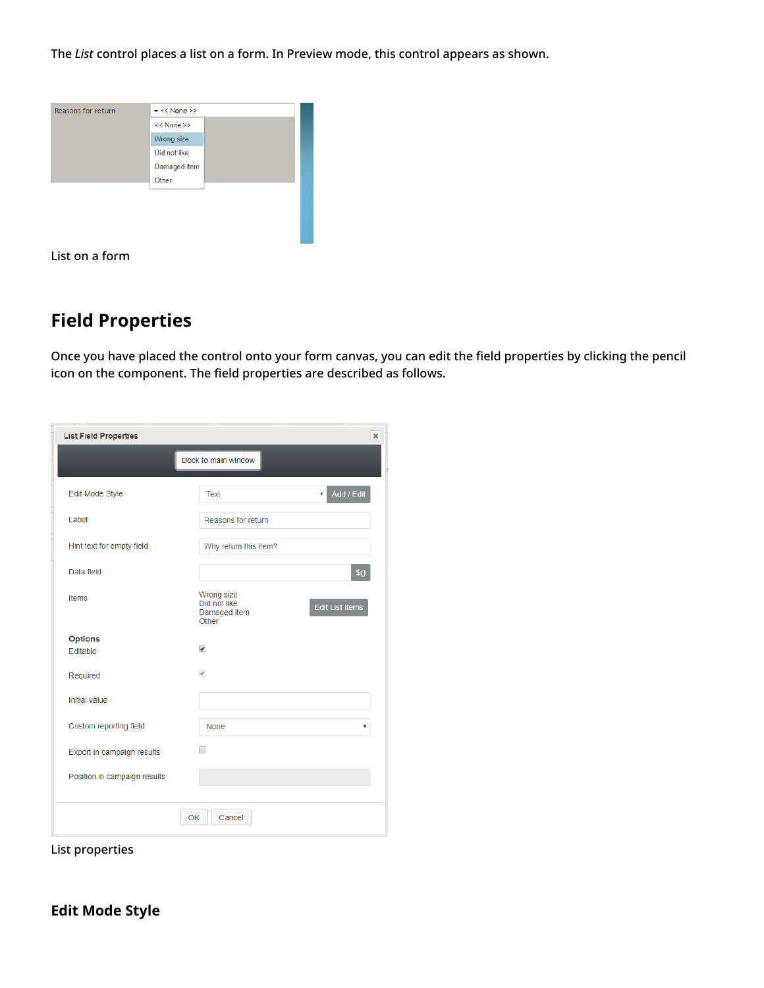The *List* control places a list on a form. In Preview mode, this control appears as shown.



List on a form

## <span id="page-6-0"></span>**Field Properties**

Once you have placed the control onto your form canvas, you can edit the field properties by clicking the pencil icon on the component. The field properties are described as follows.

| <b>List Field Properties</b><br>$\pmb{\times}$ |                                                     |                                       |  |  |  |
|------------------------------------------------|-----------------------------------------------------|---------------------------------------|--|--|--|
|                                                | Dock to main window                                 |                                       |  |  |  |
| Edit Mode Style                                | <b>Text</b>                                         | Add / Edit<br>$\overline{\mathbf{v}}$ |  |  |  |
| Label                                          | Reasons for return                                  |                                       |  |  |  |
| Hint text for empty field                      | Why return this item?                               |                                       |  |  |  |
| Data field                                     |                                                     | \$0                                   |  |  |  |
| <b>Items</b>                                   | Wrong size<br>Did not like<br>Damaged item<br>Other | <b>Edit List Items</b>                |  |  |  |
| <b>Options</b>                                 |                                                     |                                       |  |  |  |
| Editable                                       | $\blacktriangledown$                                |                                       |  |  |  |
| Required                                       | $\overline{\mathscr{A}}$                            |                                       |  |  |  |
| Initial value                                  |                                                     |                                       |  |  |  |
|                                                |                                                     |                                       |  |  |  |
| Custom reporting field                         | <b>None</b>                                         | v                                     |  |  |  |
| Export in campaign results                     | □                                                   |                                       |  |  |  |
| Position in campaign results                   |                                                     |                                       |  |  |  |
|                                                |                                                     |                                       |  |  |  |
|                                                | OK<br>Cancel                                        |                                       |  |  |  |

<span id="page-6-1"></span>List properties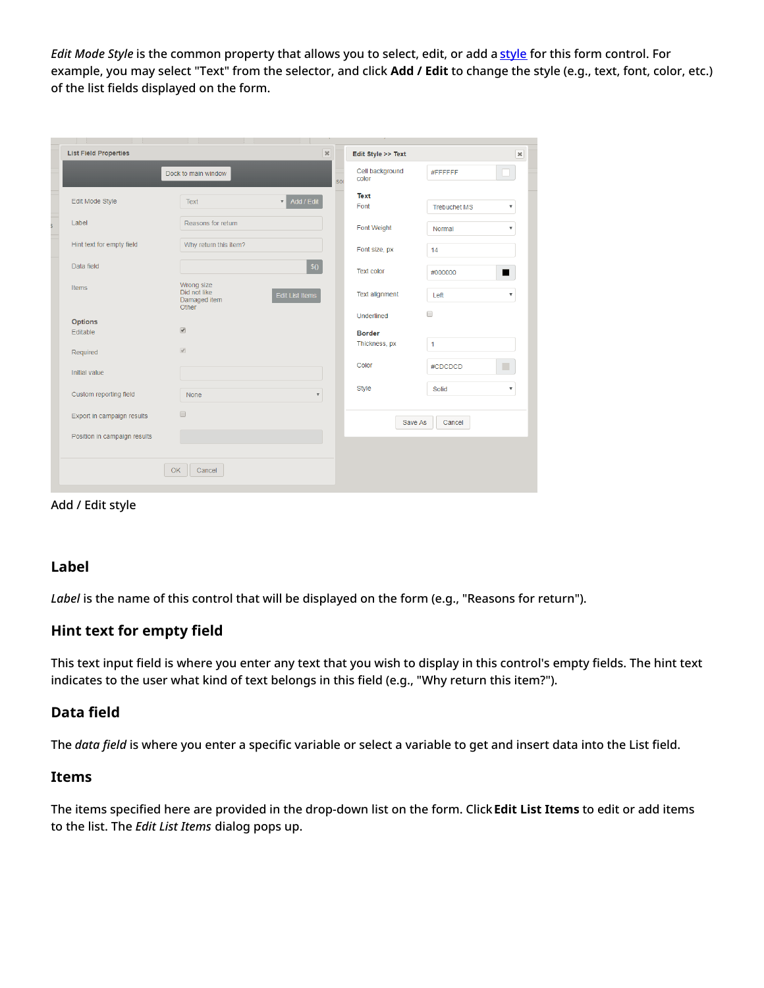*Edit Mode Style* is the common property that allows you to select, edit, or add a [style](https://help.brightpattern.com/index.php?title=5.8:Form-builder-reference-guide/CreatingNewForms&action=edit&redlink=1) for this form control. For example, you may select "Text" from the selector, and click **Add / Edit** to change the style (e.g., text, font, color, etc.) of the list fields displayed on the form.

| <b>List Field Properties</b> | $\boldsymbol{\varkappa}$                                                      |                 | Edit Style >> Text       |                     | $\pmb{\times}$            |
|------------------------------|-------------------------------------------------------------------------------|-----------------|--------------------------|---------------------|---------------------------|
|                              | Dock to main window                                                           | ۳<br><b>SOI</b> | Cell background<br>color | #FFFFFF             |                           |
| Edit Mode Style              | Add / Edit<br>Text                                                            |                 | <b>Text</b>              |                     |                           |
|                              |                                                                               |                 | Font                     | <b>Trebuchet MS</b> | $\overline{\mathbf{v}}$   |
| Label                        | Reasons for return                                                            |                 | Font Weight              | Normal              | $\pmb{\mathrm{v}}$        |
| Hint text for empty field    | Why return this item?                                                         |                 | Font size, px            | 14                  |                           |
| Data field                   | \$0                                                                           |                 | <b>Text color</b>        | #000000             | ■                         |
| Items                        | Wrong size<br>Did not like<br><b>Edit List Items</b><br>Damaged item<br>Other |                 | <b>Text alignment</b>    | Left                | $\boldsymbol{\mathrm{v}}$ |
| <b>Options</b>               |                                                                               |                 | Underlined               | $\Box$              |                           |
| Editable                     | $\overline{\mathcal{L}}$                                                      |                 | <b>Border</b>            |                     |                           |
| Required                     | $\overline{\mathscr{L}}$                                                      |                 | Thickness, px            | 1                   |                           |
| Initial value                |                                                                               |                 | Color                    | #CDCDCD             | П                         |
| Custom reporting field       | None<br>$\overline{\mathbf{v}}$                                               |                 | Style                    | Solid               | $\pmb{\mathrm{v}}$        |
|                              | $\Box$                                                                        |                 |                          |                     |                           |
| Export in campaign results   |                                                                               |                 | Save As                  | Cancel              |                           |
| Position in campaign results |                                                                               |                 |                          |                     |                           |
|                              |                                                                               |                 |                          |                     |                           |
|                              | <b>OK</b><br>Cancel                                                           |                 |                          |                     |                           |

Add / Edit style

## <span id="page-7-0"></span>**Label**

*Label* is the name of this control that will be displayed on the form (e.g., "Reasons for return").

## <span id="page-7-1"></span>**Hint text for empty field**

This text input field is where you enter any text that you wish to display in this control's empty fields. The hint text indicates to the user what kind of text belongs in this field (e.g., "Why return this item?").

## <span id="page-7-2"></span>**Data field**

The *data field* is where you enter a specific variable or select a variable to get and insert data into the List field.

#### <span id="page-7-3"></span>**Items**

The items specified here are provided in the drop-down list on the form. Click**Edit List Items** to edit or add items to the list. The *Edit List Items* dialog pops up.